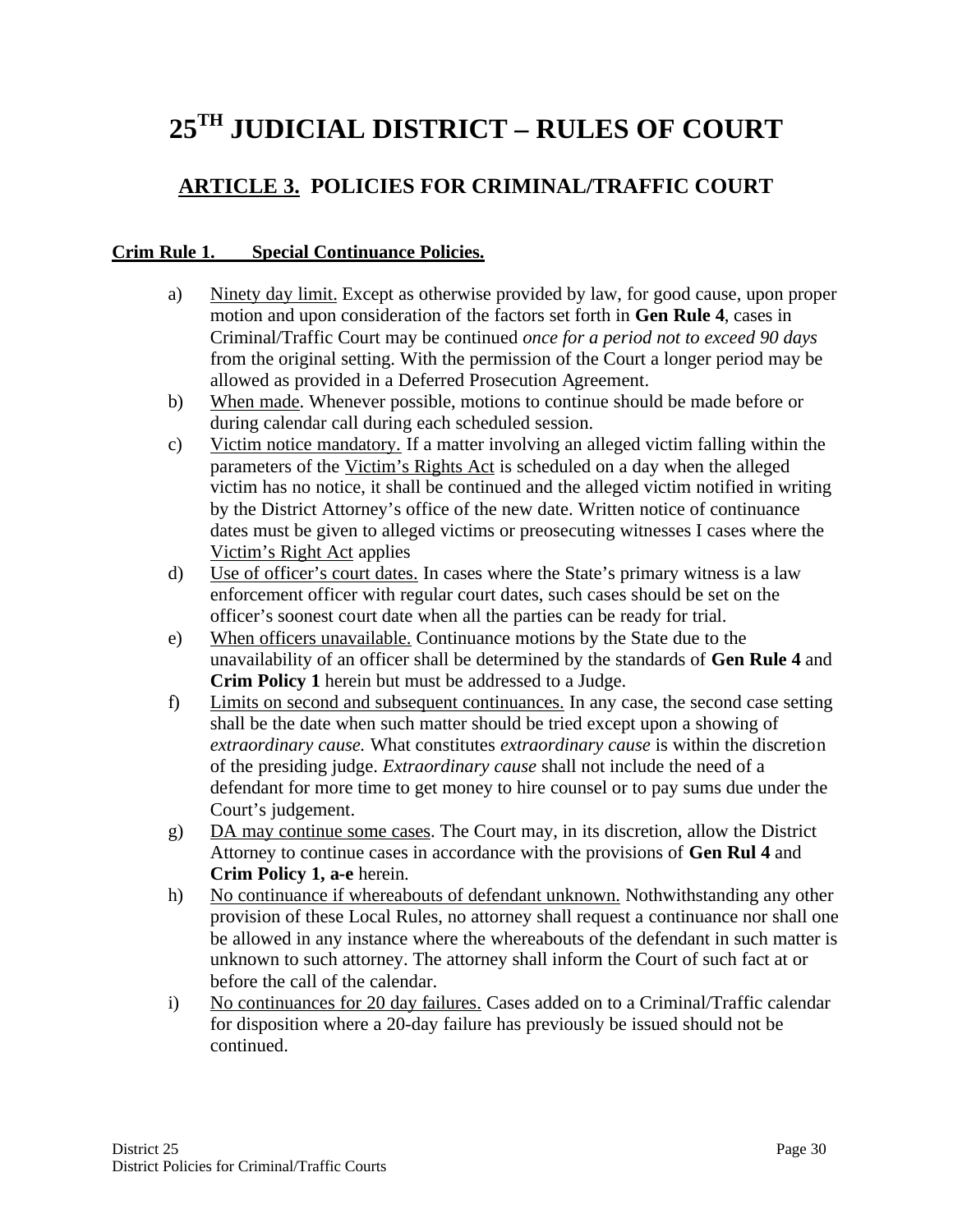# **25TH JUDICIAL DISTRICT – RULES OF COURT**

## **ARTICLE 3. POLICIES FOR CRIMINAL/TRAFFIC COURT**

#### **Crim Rule 1. Special Continuance Policies.**

- a) Ninety day limit. Except as otherwise provided by law, for good cause, upon proper motion and upon consideration of the factors set forth in **Gen Rule 4**, cases in Criminal/Traffic Court may be continued *once for a period not to exceed 90 days* from the original setting. With the permission of the Court a longer period may be allowed as provided in a Deferred Prosecution Agreement.
- b) When made. Whenever possible, motions to continue should be made before or during calendar call during each scheduled session.
- c) Victim notice mandatory. If a matter involving an alleged victim falling within the parameters of the Victim's Rights Act is scheduled on a day when the alleged victim has no notice, it shall be continued and the alleged victim notified in writing by the District Attorney's office of the new date. Written notice of continuance dates must be given to alleged victims or preosecuting witnesses I cases where the Victim's Right Act applies
- d) Use of officer's court dates. In cases where the State's primary witness is a law enforcement officer with regular court dates, such cases should be set on the officer's soonest court date when all the parties can be ready for trial.
- e) When officers unavailable. Continuance motions by the State due to the unavailability of an officer shall be determined by the standards of **Gen Rule 4** and **Crim Policy 1** herein but must be addressed to a Judge.
- f) Limits on second and subsequent continuances. In any case, the second case setting shall be the date when such matter should be tried except upon a showing of *extraordinary cause.* What constitutes *extraordinary cause* is within the discretion of the presiding judge. *Extraordinary cause* shall not include the need of a defendant for more time to get money to hire counsel or to pay sums due under the Court's judgement.
- g) DA may continue some cases. The Court may, in its discretion, allow the District Attorney to continue cases in accordance with the provisions of **Gen Rul 4** and **Crim Policy 1, a-e** herein.
- h) No continuance if whereabouts of defendant unknown. Nothwithstanding any other provision of these Local Rules, no attorney shall request a continuance nor shall one be allowed in any instance where the whereabouts of the defendant in such matter is unknown to such attorney. The attorney shall inform the Court of such fact at or before the call of the calendar.
- i) No continuances for 20 day failures. Cases added on to a Criminal/Traffic calendar for disposition where a 20-day failure has previously be issued should not be continued.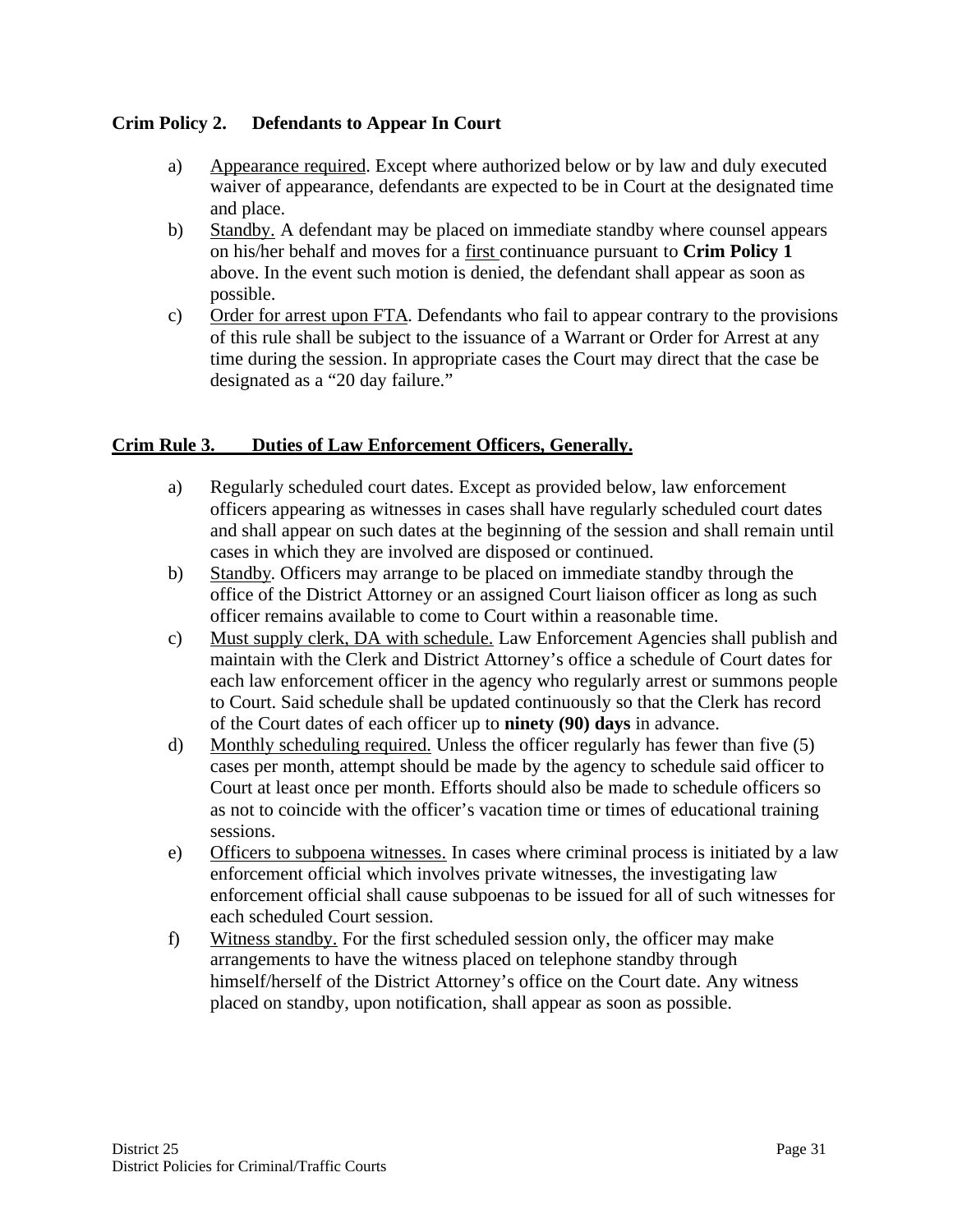#### **Crim Policy 2. Defendants to Appear In Court**

- a) Appearance required. Except where authorized below or by law and duly executed waiver of appearance, defendants are expected to be in Court at the designated time and place.
- b) Standby. A defendant may be placed on immediate standby where counsel appears on his/her behalf and moves for a first continuance pursuant to **Crim Policy 1** above. In the event such motion is denied, the defendant shall appear as soon as possible.
- c) Order for arrest upon FTA. Defendants who fail to appear contrary to the provisions of this rule shall be subject to the issuance of a Warrant or Order for Arrest at any time during the session. In appropriate cases the Court may direct that the case be designated as a "20 day failure."

#### **Crim Rule 3. Duties of Law Enforcement Officers, Generally.**

- a) Regularly scheduled court dates. Except as provided below, law enforcement officers appearing as witnesses in cases shall have regularly scheduled court dates and shall appear on such dates at the beginning of the session and shall remain until cases in which they are involved are disposed or continued.
- b) Standby. Officers may arrange to be placed on immediate standby through the office of the District Attorney or an assigned Court liaison officer as long as such officer remains available to come to Court within a reasonable time.
- c) Must supply clerk, DA with schedule. Law Enforcement Agencies shall publish and maintain with the Clerk and District Attorney's office a schedule of Court dates for each law enforcement officer in the agency who regularly arrest or summons people to Court. Said schedule shall be updated continuously so that the Clerk has record of the Court dates of each officer up to **ninety (90) days** in advance.
- d) Monthly scheduling required. Unless the officer regularly has fewer than five (5) cases per month, attempt should be made by the agency to schedule said officer to Court at least once per month. Efforts should also be made to schedule officers so as not to coincide with the officer's vacation time or times of educational training sessions.
- e) Officers to subpoena witnesses. In cases where criminal process is initiated by a law enforcement official which involves private witnesses, the investigating law enforcement official shall cause subpoenas to be issued for all of such witnesses for each scheduled Court session.
- f) Witness standby. For the first scheduled session only, the officer may make arrangements to have the witness placed on telephone standby through himself/herself of the District Attorney's office on the Court date. Any witness placed on standby, upon notification, shall appear as soon as possible.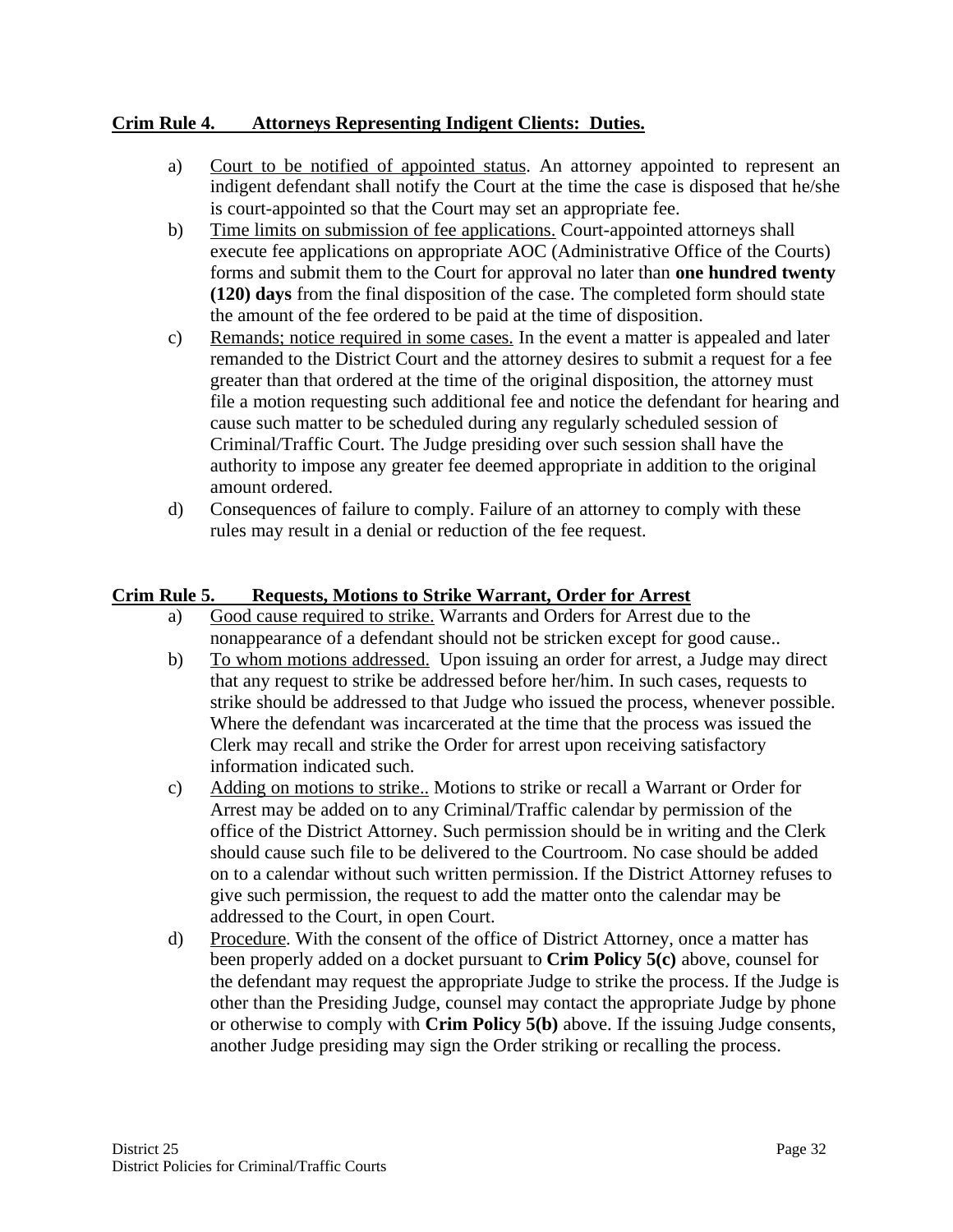#### **Crim Rule 4. Attorneys Representing Indigent Clients: Duties.**

- a) Court to be notified of appointed status. An attorney appointed to represent an indigent defendant shall notify the Court at the time the case is disposed that he/she is court-appointed so that the Court may set an appropriate fee.
- b) Time limits on submission of fee applications. Court-appointed attorneys shall execute fee applications on appropriate AOC (Administrative Office of the Courts) forms and submit them to the Court for approval no later than **one hundred twenty (120) days** from the final disposition of the case. The completed form should state the amount of the fee ordered to be paid at the time of disposition.
- c) Remands; notice required in some cases. In the event a matter is appealed and later remanded to the District Court and the attorney desires to submit a request for a fee greater than that ordered at the time of the original disposition, the attorney must file a motion requesting such additional fee and notice the defendant for hearing and cause such matter to be scheduled during any regularly scheduled session of Criminal/Traffic Court. The Judge presiding over such session shall have the authority to impose any greater fee deemed appropriate in addition to the original amount ordered.
- d) Consequences of failure to comply. Failure of an attorney to comply with these rules may result in a denial or reduction of the fee request.

#### **Crim Rule 5. Requests, Motions to Strike Warrant, Order for Arrest**

- a) Good cause required to strike. Warrants and Orders for Arrest due to the nonappearance of a defendant should not be stricken except for good cause..
- b) To whom motions addressed. Upon issuing an order for arrest, a Judge may direct that any request to strike be addressed before her/him. In such cases, requests to strike should be addressed to that Judge who issued the process, whenever possible. Where the defendant was incarcerated at the time that the process was issued the Clerk may recall and strike the Order for arrest upon receiving satisfactory information indicated such.
- c) Adding on motions to strike.. Motions to strike or recall a Warrant or Order for Arrest may be added on to any Criminal/Traffic calendar by permission of the office of the District Attorney. Such permission should be in writing and the Clerk should cause such file to be delivered to the Courtroom. No case should be added on to a calendar without such written permission. If the District Attorney refuses to give such permission, the request to add the matter onto the calendar may be addressed to the Court, in open Court.
- d) Procedure. With the consent of the office of District Attorney, once a matter has been properly added on a docket pursuant to **Crim Policy 5(c)** above, counsel for the defendant may request the appropriate Judge to strike the process. If the Judge is other than the Presiding Judge, counsel may contact the appropriate Judge by phone or otherwise to comply with **Crim Policy 5(b)** above. If the issuing Judge consents, another Judge presiding may sign the Order striking or recalling the process.